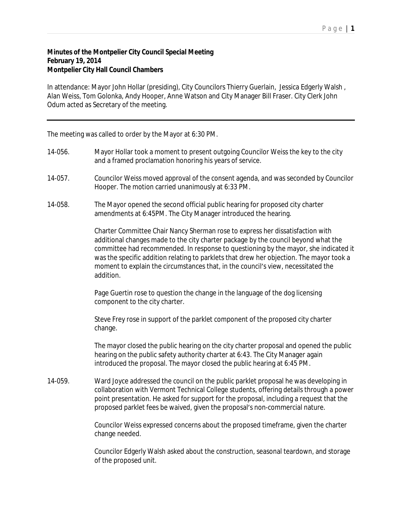## **Minutes of the Montpelier City Council Special Meeting February 19, 2014 Montpelier City Hall Council Chambers**

In attendance: Mayor John Hollar (presiding), City Councilors Thierry Guerlain, Jessica Edgerly Walsh , Alan Weiss, Tom Golonka, Andy Hooper, Anne Watson and City Manager Bill Fraser. City Clerk John Odum acted as Secretary of the meeting.

The meeting was called to order by the Mayor at 6:30 PM.

- 14-056. Mayor Hollar took a moment to present outgoing Councilor Weiss the key to the city and a framed proclamation honoring his years of service.
- 14-057. Councilor Weiss moved approval of the consent agenda, and was seconded by Councilor Hooper. The motion carried unanimously at 6:33 PM.
- 14-058. The Mayor opened the second official public hearing for proposed city charter amendments at 6:45PM. The City Manager introduced the hearing.

Charter Committee Chair Nancy Sherman rose to express her dissatisfaction with additional changes made to the city charter package by the council beyond what the committee had recommended. In response to questioning by the mayor, she indicated it was the specific addition relating to parklets that drew her objection. The mayor took a moment to explain the circumstances that, in the council's view, necessitated the addition.

Page Guertin rose to question the change in the language of the dog licensing component to the city charter.

Steve Frey rose in support of the parklet component of the proposed city charter change.

The mayor closed the public hearing on the city charter proposal and opened the public hearing on the public safety authority charter at 6:43. The City Manager again introduced the proposal. The mayor closed the public hearing at 6:45 PM.

14-059. Ward Joyce addressed the council on the public parklet proposal he was developing in collaboration with Vermont Technical College students, offering details through a power point presentation. He asked for support for the proposal, including a request that the proposed parklet fees be waived, given the proposal's non-commercial nature.

> Councilor Weiss expressed concerns about the proposed timeframe, given the charter change needed.

Councilor Edgerly Walsh asked about the construction, seasonal teardown, and storage of the proposed unit.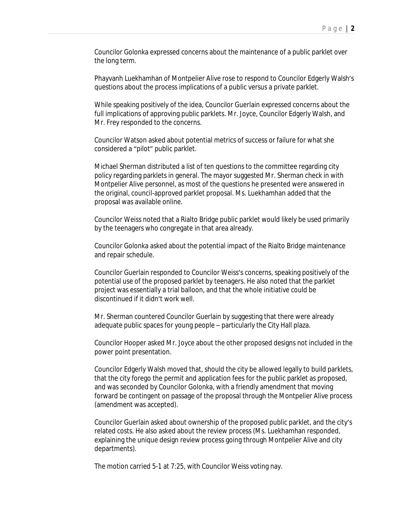Councilor Golonka expressed concerns about the maintenance of a public parklet over the long term.

Phayvanh Luekhamhan of Montpelier Alive rose to respond to Councilor Edgerly Walsh's questions about the process implications of a public versus a private parklet.

While speaking positively of the idea, Councilor Guerlain expressed concerns about the full implications of approving public parklets. Mr. Joyce, Councilor Edgerly Walsh, and Mr. Frey responded to the concerns.

Councilor Watson asked about potential metrics of success or failure for what she considered a "pilot" public parklet.

Michael Sherman distributed a list of ten questions to the committee regarding city policy regarding parklets in general. The mayor suggested Mr. Sherman check in with Montpelier Alive personnel, as most of the questions he presented were answered in the original, council-approved parklet proposal. Ms. Luekhamhan added that the proposal was available online.

Councilor Weiss noted that a Rialto Bridge public parklet would likely be used primarily by the teenagers who congregate in that area already.

Councilor Golonka asked about the potential impact of the Rialto Bridge maintenance and repair schedule.

Councilor Guerlain responded to Councilor Weiss's concerns, speaking positively of the potential use of the proposed parklet by teenagers. He also noted that the parklet project was essentially a trial balloon, and that the whole initiative could be discontinued if it didn't work well.

Mr. Sherman countered Councilor Guerlain by suggesting that there were already adequate public spaces for young people – particularly the City Hall plaza.

Councilor Hooper asked Mr. Joyce about the other proposed designs not included in the power point presentation.

Councilor Edgerly Walsh moved that, should the city be allowed legally to build parklets, that the city forego the permit and application fees for the public parklet as proposed, and was seconded by Councilor Golonka, with a friendly amendment that moving forward be contingent on passage of the proposal through the Montpelier Alive process (amendment was accepted).

Councilor Guerlain asked about ownership of the proposed public parklet, and the city's related costs. He also asked about the review process (Ms. Luekhamhan responded, explaining the unique design review process going through Montpelier Alive and city departments).

The motion carried 5-1 at 7:25, with Councilor Weiss voting nay.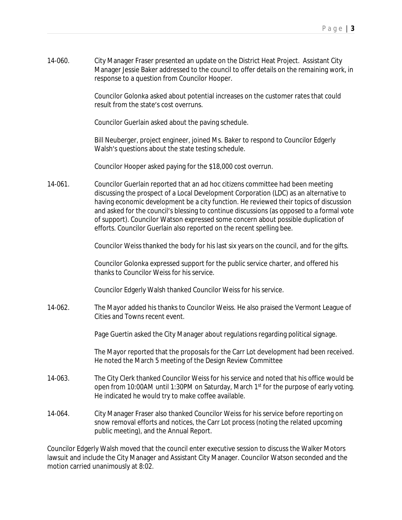14-060. City Manager Fraser presented an update on the District Heat Project. Assistant City Manager Jessie Baker addressed to the council to offer details on the remaining work, in response to a question from Councilor Hooper.

> Councilor Golonka asked about potential increases on the customer rates that could result from the state's cost overruns.

Councilor Guerlain asked about the paving schedule.

Bill Neuberger, project engineer, joined Ms. Baker to respond to Councilor Edgerly Walsh's questions about the state testing schedule.

Councilor Hooper asked paying for the \$18,000 cost overrun.

14-061. Councilor Guerlain reported that an ad hoc citizens committee had been meeting discussing the prospect of a Local Development Corporation (LDC) as an alternative to having economic development be a city function. He reviewed their topics of discussion and asked for the council's blessing to continue discussions (as opposed to a formal vote of support). Councilor Watson expressed some concern about possible duplication of efforts. Councilor Guerlain also reported on the recent spelling bee.

Councilor Weiss thanked the body for his last six years on the council, and for the gifts.

Councilor Golonka expressed support for the public service charter, and offered his thanks to Councilor Weiss for his service.

Councilor Edgerly Walsh thanked Councilor Weiss for his service.

14-062. The Mayor added his thanks to Councilor Weiss. He also praised the Vermont League of Cities and Towns recent event.

Page Guertin asked the City Manager about regulations regarding political signage.

The Mayor reported that the proposals for the Carr Lot development had been received. He noted the March 5 meeting of the Design Review Committee

- 14-063. The City Clerk thanked Councilor Weiss for his service and noted that his office would be open from 10:00AM until 1:30PM on Saturday, March 1<sup>st</sup> for the purpose of early voting. He indicated he would try to make coffee available.
- 14-064. City Manager Fraser also thanked Councilor Weiss for his service before reporting on snow removal efforts and notices, the Carr Lot process (noting the related upcoming public meeting), and the Annual Report.

Councilor Edgerly Walsh moved that the council enter executive session to discuss the Walker Motors lawsuit and include the City Manager and Assistant City Manager. Councilor Watson seconded and the motion carried unanimously at 8:02.